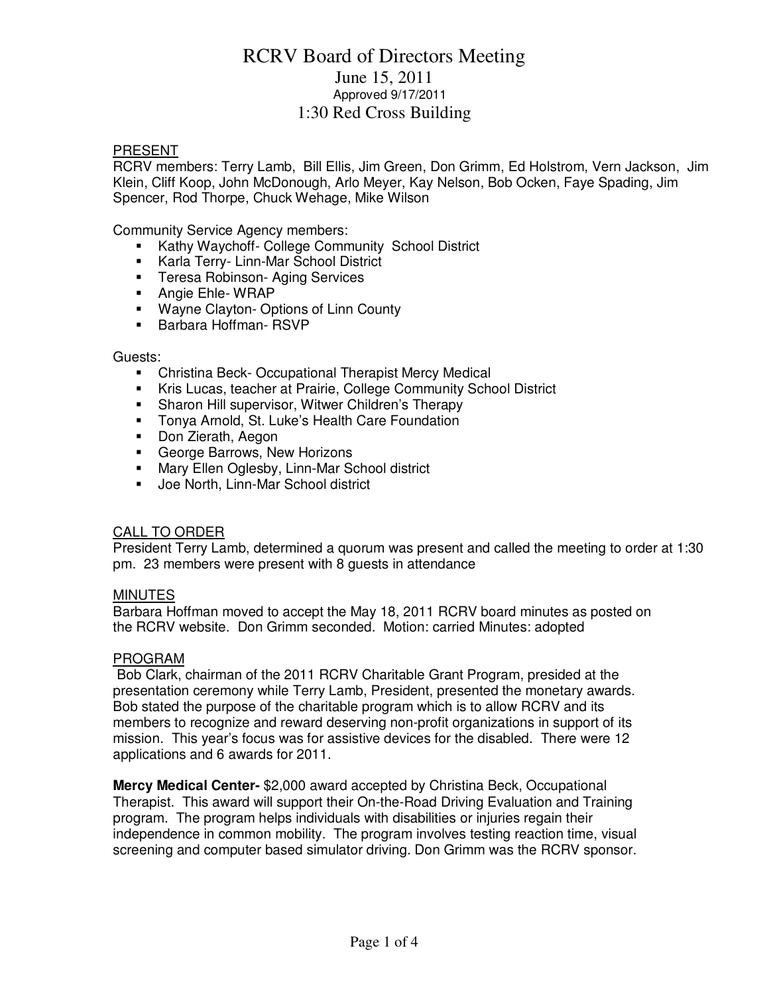## RCRV Board of Directors Meeting June 15, 2011 Approved 9/17/2011 1:30 Red Cross Building

### PRESENT

RCRV members: Terry Lamb, Bill Ellis, Jim Green, Don Grimm, Ed Holstrom, Vern Jackson, Jim Klein, Cliff Koop, John McDonough, Arlo Meyer, Kay Nelson, Bob Ocken, Faye Spading, Jim Spencer, Rod Thorpe, Chuck Wehage, Mike Wilson

Community Service Agency members:

- **Kathy Waychoff- College Community School District**
- **Karla Terry- Linn-Mar School District**
- **Teresa Robinson- Aging Services**
- **Angie Ehle- WRAP**
- **Wayne Clayton- Options of Linn County**
- **Barbara Hoffman- RSVP**

### Guests:

- Christina Beck- Occupational Therapist Mercy Medical
- Kris Lucas, teacher at Prairie, College Community School District
- **Sharon Hill supervisor, Witwer Children's Therapy**
- **Tonya Arnold, St. Luke's Health Care Foundation**
- **Don Zierath, Aegon**
- **George Barrows, New Horizons**
- **Mary Ellen Oglesby, Linn-Mar School district**
- **Joe North, Linn-Mar School district**

## CALL TO ORDER

President Terry Lamb, determined a quorum was present and called the meeting to order at 1:30 pm. 23 members were present with 8 guests in attendance

### **MINUTES**

Barbara Hoffman moved to accept the May 18, 2011 RCRV board minutes as posted on the RCRV website. Don Grimm seconded. Motion: carried Minutes: adopted

### PROGRAM

 Bob Clark, chairman of the 2011 RCRV Charitable Grant Program, presided at the presentation ceremony while Terry Lamb, President, presented the monetary awards. Bob stated the purpose of the charitable program which is to allow RCRV and its members to recognize and reward deserving non-profit organizations in support of its mission. This year's focus was for assistive devices for the disabled. There were 12 applications and 6 awards for 2011.

**Mercy Medical Center-** \$2,000 award accepted by Christina Beck, Occupational Therapist. This award will support their On-the-Road Driving Evaluation and Training program. The program helps individuals with disabilities or injuries regain their independence in common mobility. The program involves testing reaction time, visual screening and computer based simulator driving. Don Grimm was the RCRV sponsor.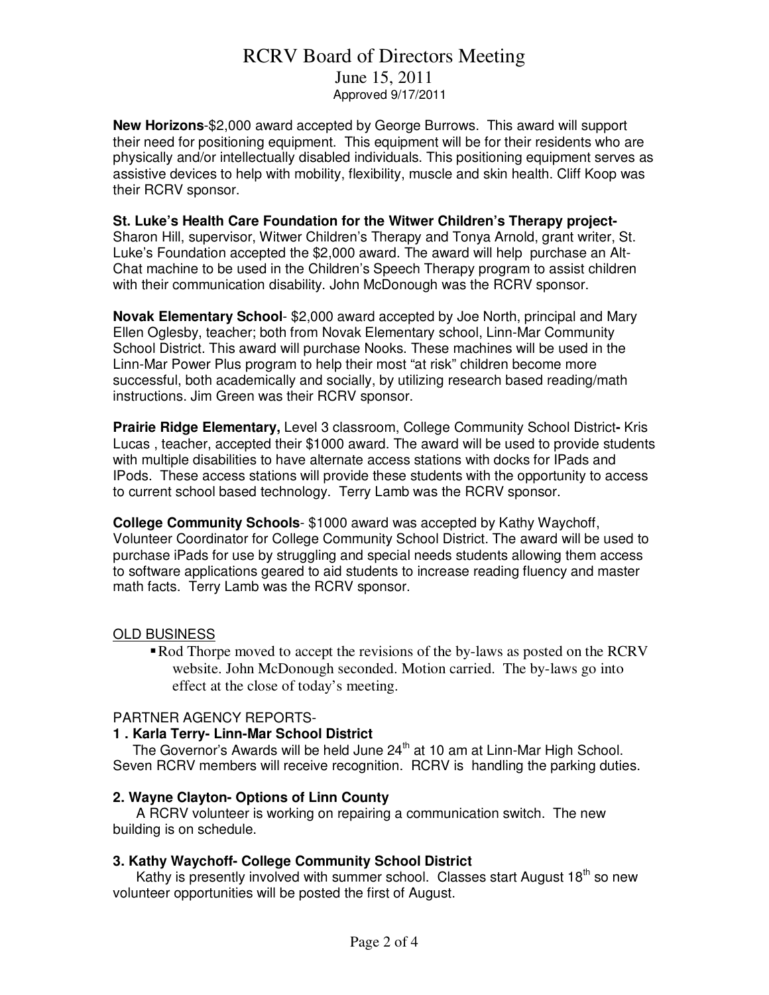## RCRV Board of Directors Meeting

June 15, 2011 Approved 9/17/2011

**New Horizons**-\$2,000 award accepted by George Burrows. This award will support their need for positioning equipment. This equipment will be for their residents who are physically and/or intellectually disabled individuals. This positioning equipment serves as assistive devices to help with mobility, flexibility, muscle and skin health. Cliff Koop was their RCRV sponsor.

## **St. Luke's Health Care Foundation for the Witwer Children's Therapy project-**

Sharon Hill, supervisor, Witwer Children's Therapy and Tonya Arnold, grant writer, St. Luke's Foundation accepted the \$2,000 award. The award will help purchase an Alt-Chat machine to be used in the Children's Speech Therapy program to assist children with their communication disability. John McDonough was the RCRV sponsor.

**Novak Elementary School**- \$2,000 award accepted by Joe North, principal and Mary Ellen Oglesby, teacher; both from Novak Elementary school, Linn-Mar Community School District. This award will purchase Nooks. These machines will be used in the Linn-Mar Power Plus program to help their most "at risk" children become more successful, both academically and socially, by utilizing research based reading/math instructions. Jim Green was their RCRV sponsor.

**Prairie Ridge Elementary,** Level 3 classroom, College Community School District**-** Kris Lucas , teacher, accepted their \$1000 award. The award will be used to provide students with multiple disabilities to have alternate access stations with docks for IPads and IPods. These access stations will provide these students with the opportunity to access to current school based technology. Terry Lamb was the RCRV sponsor.

**College Community Schools**- \$1000 award was accepted by Kathy Waychoff, Volunteer Coordinator for College Community School District. The award will be used to purchase iPads for use by struggling and special needs students allowing them access to software applications geared to aid students to increase reading fluency and master math facts. Terry Lamb was the RCRV sponsor.

### OLD BUSINESS

• Rod Thorpe moved to accept the revisions of the by-laws as posted on the RCRV website. John McDonough seconded. Motion carried. The by-laws go into effect at the close of today's meeting.

## PARTNER AGENCY REPORTS-

## **1 . Karla Terry- Linn-Mar School District**

The Governor's Awards will be held June  $24<sup>th</sup>$  at 10 am at Linn-Mar High School. Seven RCRV members will receive recognition. RCRV is handling the parking duties.

### **2. Wayne Clayton- Options of Linn County**

 A RCRV volunteer is working on repairing a communication switch. The new building is on schedule.

## **3. Kathy Waychoff- College Community School District**

Kathy is presently involved with summer school. Classes start August 18<sup>th</sup> so new volunteer opportunities will be posted the first of August.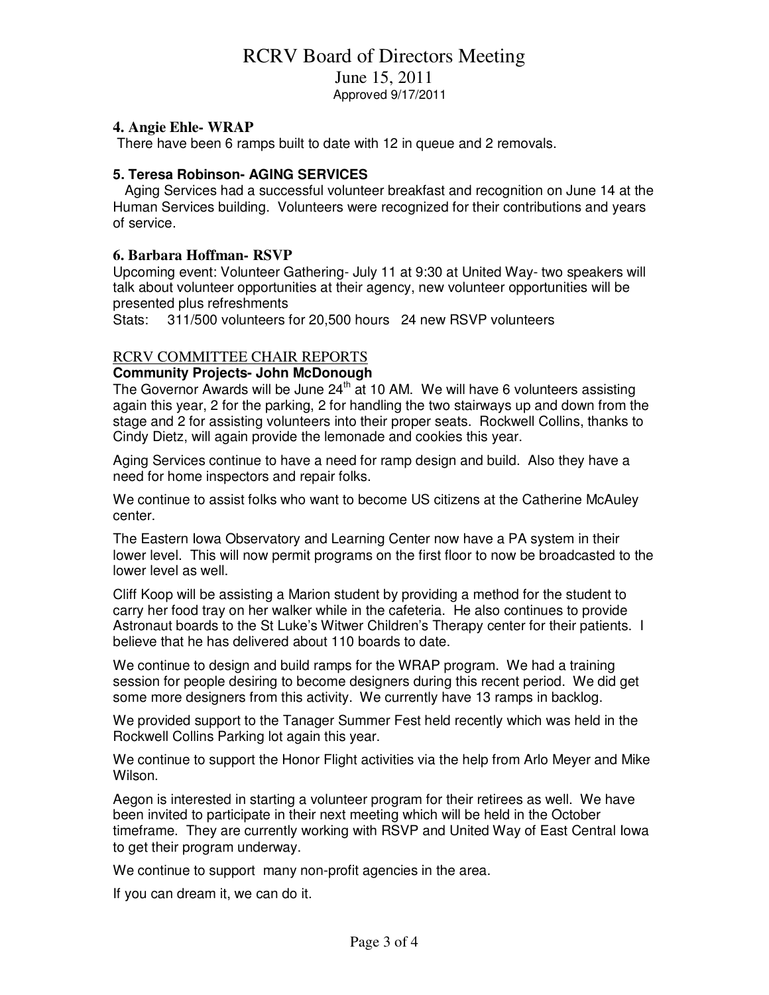## RCRV Board of Directors Meeting

June 15, 2011

Approved 9/17/2011

### **4. Angie Ehle- WRAP**

There have been 6 ramps built to date with 12 in queue and 2 removals.

### **5. Teresa Robinson- AGING SERVICES**

Aging Services had a successful volunteer breakfast and recognition on June 14 at the Human Services building. Volunteers were recognized for their contributions and years of service.

### **6. Barbara Hoffman- RSVP**

Upcoming event: Volunteer Gathering- July 11 at 9:30 at United Way- two speakers will talk about volunteer opportunities at their agency, new volunteer opportunities will be presented plus refreshments

Stats: 311/500 volunteers for 20,500 hours 24 new RSVP volunteers

### RCRV COMMITTEE CHAIR REPORTS

### **Community Projects- John McDonough**

The Governor Awards will be June  $24<sup>th</sup>$  at 10 AM. We will have 6 volunteers assisting again this year, 2 for the parking, 2 for handling the two stairways up and down from the stage and 2 for assisting volunteers into their proper seats. Rockwell Collins, thanks to Cindy Dietz, will again provide the lemonade and cookies this year.

Aging Services continue to have a need for ramp design and build. Also they have a need for home inspectors and repair folks.

We continue to assist folks who want to become US citizens at the Catherine McAuley center.

The Eastern Iowa Observatory and Learning Center now have a PA system in their lower level. This will now permit programs on the first floor to now be broadcasted to the lower level as well.

Cliff Koop will be assisting a Marion student by providing a method for the student to carry her food tray on her walker while in the cafeteria. He also continues to provide Astronaut boards to the St Luke's Witwer Children's Therapy center for their patients. I believe that he has delivered about 110 boards to date.

We continue to design and build ramps for the WRAP program. We had a training session for people desiring to become designers during this recent period. We did get some more designers from this activity. We currently have 13 ramps in backlog.

We provided support to the Tanager Summer Fest held recently which was held in the Rockwell Collins Parking lot again this year.

We continue to support the Honor Flight activities via the help from Arlo Meyer and Mike Wilson.

Aegon is interested in starting a volunteer program for their retirees as well. We have been invited to participate in their next meeting which will be held in the October timeframe. They are currently working with RSVP and United Way of East Central Iowa to get their program underway.

We continue to support many non-profit agencies in the area.

If you can dream it, we can do it.